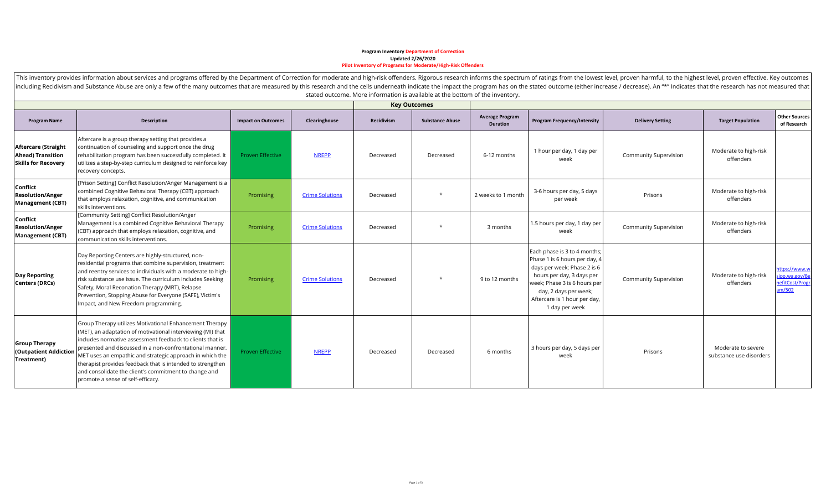## **Program Inventory Department of Correction Updated 2/26/2020 Pilot Inventory of Programs for Moderate/High-Risk Offenders**

|                                                                                      | including Recidivism and Substance Abuse are only a few of the many outcomes that are measured by this research and the cells underneath indicate the impact the program has on the stated outcome (either increase / decrease                                                                                                                                                                                                                                           |                           |                        | stated outcome. More information is available at the bottom of the inventory. |                        |                                           |                                                                                                                                                                                                                                      |                              |                                               |                                                             |
|--------------------------------------------------------------------------------------|--------------------------------------------------------------------------------------------------------------------------------------------------------------------------------------------------------------------------------------------------------------------------------------------------------------------------------------------------------------------------------------------------------------------------------------------------------------------------|---------------------------|------------------------|-------------------------------------------------------------------------------|------------------------|-------------------------------------------|--------------------------------------------------------------------------------------------------------------------------------------------------------------------------------------------------------------------------------------|------------------------------|-----------------------------------------------|-------------------------------------------------------------|
|                                                                                      |                                                                                                                                                                                                                                                                                                                                                                                                                                                                          |                           |                        | <b>Key Outcomes</b>                                                           |                        |                                           |                                                                                                                                                                                                                                      |                              |                                               |                                                             |
| <b>Program Name</b>                                                                  | <b>Description</b>                                                                                                                                                                                                                                                                                                                                                                                                                                                       | <b>Impact on Outcomes</b> | Clearinghouse          | Recidivism                                                                    | <b>Substance Abuse</b> | <b>Average Program</b><br><b>Duration</b> | <b>Program Frequency/Intensity</b>                                                                                                                                                                                                   | <b>Delivery Setting</b>      | <b>Target Population</b>                      | <b>Other Sources</b><br>of Research                         |
| <b>Aftercare (Straight</b><br><b>Ahead) Transition</b><br><b>Skills for Recovery</b> | Aftercare is a group therapy setting that provides a<br>continuation of counseling and support once the drug<br>rehabilitation program has been successfully completed. It<br>utilizes a step-by-step curriculum designed to reinforce key<br>recovery concepts.                                                                                                                                                                                                         | <b>Proven Effective</b>   | <b>NREPP</b>           | Decreased                                                                     | Decreased              | 6-12 months                               | 1 hour per day, 1 day per<br>week                                                                                                                                                                                                    | <b>Community Supervision</b> | Moderate to high-risk<br>offenders            |                                                             |
| Conflict<br><b>Resolution/Anger</b><br><b>Management (CBT)</b>                       | [Prison Setting] Conflict Resolution/Anger Management is a<br>combined Cognitive Behavioral Therapy (CBT) approach<br>that employs relaxation, cognitive, and communication<br>skills interventions.                                                                                                                                                                                                                                                                     | Promising                 | <b>Crime Solutions</b> | Decreased                                                                     | $\ast$                 | 2 weeks to 1 month                        | 3-6 hours per day, 5 days<br>per week                                                                                                                                                                                                | Prisons                      | Moderate to high-risk<br>offenders            |                                                             |
| Conflict<br><b>Resolution/Anger</b><br><b>Management (CBT)</b>                       | [Community Setting] Conflict Resolution/Anger<br>Management is a combined Cognitive Behavioral Therapy<br>(CBT) approach that employs relaxation, cognitive, and<br>communication skills interventions.                                                                                                                                                                                                                                                                  | Promising                 | <b>Crime Solutions</b> | Decreased                                                                     |                        | 3 months                                  | 1.5 hours per day, 1 day per<br>week                                                                                                                                                                                                 | <b>Community Supervision</b> | Moderate to high-risk<br>offenders            |                                                             |
| <b>Day Reporting</b><br>Centers (DRCs)                                               | Day Reporting Centers are highly-structured, non-<br>residential programs that combine supervision, treatment<br>and reentry services to individuals with a moderate to high-<br>risk substance use issue. The curriculum includes Seeking<br>Safety, Moral Reconation Therapy (MRT), Relapse<br>Prevention, Stopping Abuse for Everyone (SAFE), Victim's<br>Impact, and New Freedom programming.                                                                        | Promising                 | <b>Crime Solutions</b> | Decreased                                                                     | $\star$                | 9 to 12 months                            | Each phase is 3 to 4 months;<br>Phase 1 is 6 hours per day, 4<br>days per week; Phase 2 is 6<br>hours per day, 3 days per<br>week; Phase 3 is 6 hours per<br>day, 2 days per week;<br>Aftercare is 1 hour per day,<br>1 day per week | <b>Community Supervision</b> | Moderate to high-risk<br>offenders            | nttps://www.w<br>ipp.wa.gov/Be<br>nefitCost/Progr<br>am/502 |
| <b>Group Therapy</b><br>(Outpatient Addiction<br>Treatment)                          | Group Therapy utilizes Motivational Enhancement Therapy<br>(MET), an adaptation of motivational interviewing (MI) that<br>lincludes normative assessment feedback to clients that is<br>presented and discussed in a non-confrontational manner.<br>MET uses an empathic and strategic approach in which the<br>therapist provides feedback that is intended to strengthen<br>and consolidate the client's commitment to change and<br>promote a sense of self-efficacy. | <b>Proven Effective</b>   | <b>NREPP</b>           | Decreased                                                                     | Decreased              | 6 months                                  | 3 hours per day, 5 days per<br>week                                                                                                                                                                                                  | Prisons                      | Moderate to severe<br>substance use disorders |                                                             |

This inventory provides information about services and programs offered by the Department of Correction for moderate and high-risk offenders. Rigorous research informs the spectrum of ratings from the lowest level, proven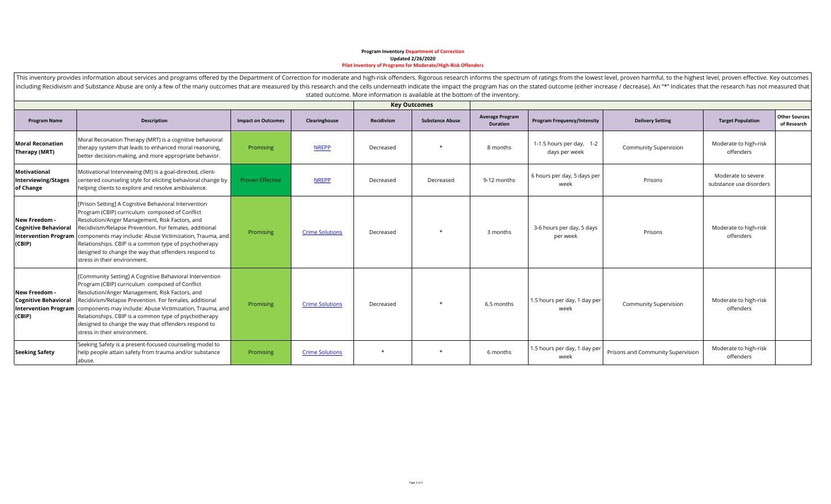## **Program Inventory Department of Correction Updated 2/26/2020 Pilot Inventory of Programs for Moderate/High-Risk Offenders**

| including Recidivism and Substance Abuse are only a few of the many outcomes that are measured by this research and the cells underneath indicate the impact the program has on the stated outcome (either increase / decrease<br>stated outcome. More information is available at the bottom of the inventory. |                                                                                                                                                                                                                                                                                                                                                                                                                                                           |                           |                        |                     |                        |                                           |                                           |                                                          |                                    |                                     |
|-----------------------------------------------------------------------------------------------------------------------------------------------------------------------------------------------------------------------------------------------------------------------------------------------------------------|-----------------------------------------------------------------------------------------------------------------------------------------------------------------------------------------------------------------------------------------------------------------------------------------------------------------------------------------------------------------------------------------------------------------------------------------------------------|---------------------------|------------------------|---------------------|------------------------|-------------------------------------------|-------------------------------------------|----------------------------------------------------------|------------------------------------|-------------------------------------|
|                                                                                                                                                                                                                                                                                                                 |                                                                                                                                                                                                                                                                                                                                                                                                                                                           |                           |                        | <b>Key Outcomes</b> |                        |                                           |                                           |                                                          |                                    |                                     |
| <b>Program Name</b>                                                                                                                                                                                                                                                                                             | Description                                                                                                                                                                                                                                                                                                                                                                                                                                               | <b>Impact on Outcomes</b> | Clearinghouse          | Recidivism          | <b>Substance Abuse</b> | <b>Average Program</b><br><b>Duration</b> | <b>Program Frequency/Intensity</b>        | <b>Delivery Setting</b>                                  | <b>Target Population</b>           | <b>Other Sources</b><br>of Research |
| <b>Moral Reconation</b><br>Therapy (MRT)                                                                                                                                                                                                                                                                        | Moral Reconation Therapy (MRT) is a cognitive behavioral<br>therapy system that leads to enhanced moral reasoning,<br>better decision-making, and more appropriate behavior.                                                                                                                                                                                                                                                                              | Promising                 | <b>NREPP</b>           | Decreased           | $\star$                | 8 months                                  | 1-1.5 hours per day, 1-2<br>days per week | <b>Community Supervision</b>                             | Moderate to high-risk<br>offenders |                                     |
| <b>Motivational</b><br><b>Interviewing/Stages</b><br>of Change                                                                                                                                                                                                                                                  | Motivational Interviewing (MI) is a goal-directed, client-<br>centered counseling style for eliciting behavioral change by<br>helping clients to explore and resolve ambivalence.                                                                                                                                                                                                                                                                         | <b>Proven Effective</b>   | <b>NREPP</b>           | Decreased           | Decreased              | 9-12 months                               | 6 hours per day, 5 days per<br>week       | Moderate to severe<br>Prisons<br>substance use disorders |                                    |                                     |
| New Freedom -<br><b>Cognitive Behavioral</b><br>(CBIP)                                                                                                                                                                                                                                                          | [Prison Setting] A Cognitive Behavioral Intervention<br>Program (CBIP) curriculum composed of Conflict<br>Resolution/Anger Management, Risk Factors, and<br>Recidivism/Relapse Prevention. For females, additional<br>Intervention Program   components may include: Abuse Victimization, Trauma, and<br>Relationships. CBIP is a common type of psychotherapy<br>designed to change the way that offenders respond to<br>stress in their environment.    | Promising                 | <b>Crime Solutions</b> | Decreased           | $\star$                | 3 months                                  | 3-6 hours per day, 5 days<br>per week     | Prisons                                                  | Moderate to high-risk<br>offenders |                                     |
| New Freedom -<br><b>Cognitive Behavioral</b><br>(CBIP)                                                                                                                                                                                                                                                          | [Community Setting] A Cognitive Behavioral Intervention<br>Program (CBIP) curriculum composed of Conflict<br>Resolution/Anger Management, Risk Factors, and<br>Recidivism/Relapse Prevention. For females, additional<br>Intervention Program   components may include: Abuse Victimization, Trauma, and<br>Relationships. CBIP is a common type of psychotherapy<br>designed to change the way that offenders respond to<br>stress in their environment. | Promising                 | <b>Crime Solutions</b> | Decreased           | $\star$                | 6.5 months                                | 1.5 hours per day, 1 day per<br>week      | <b>Community Supervision</b>                             | Moderate to high-risk<br>offenders |                                     |
| <b>Seeking Safety</b>                                                                                                                                                                                                                                                                                           | Seeking Safety is a present-focused counseling model to<br>help people attain safety from trauma and/or substance<br>abuse.                                                                                                                                                                                                                                                                                                                               | Promising                 | <b>Crime Solutions</b> | $\star$             |                        | 6 months                                  | 1.5 hours per day, 1 day per<br>week      | Prisons and Community Supervision                        | Moderate to high-risk<br>offenders |                                     |

This inventory provides information about services and programs offered by the Department of Correction for moderate and high-risk offenders. Rigorous research informs the spectrum of ratings from the lowest level, proven